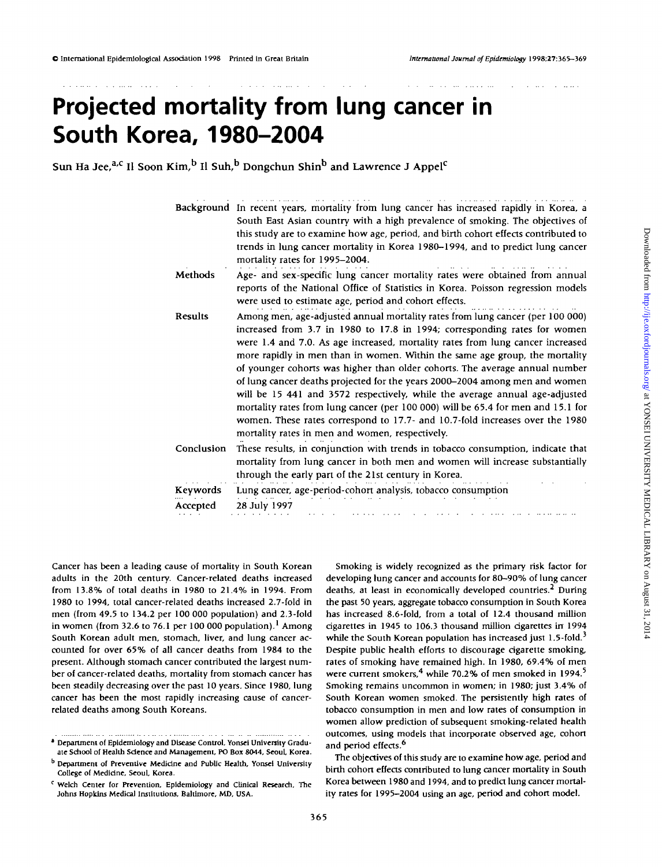# **Projected mortality from lung cancer in South Korea, 1980-2004**

Sun Ha Jee,<sup>a,c</sup> Il Soon Kim,<sup>b</sup> Il Suh,<sup>b</sup> Dongchun Shin<sup>b</sup> and Lawrence J Appel<sup>c</sup>

|            | .<br>Background In recent years, mortality from lung cancer has increased rapidly in Korea, a<br>South East Asian country with a high prevalence of smoking. The objectives of<br>this study are to examine how age, period, and birth cohort effects contributed to<br>trends in lung cancer mortality in Korea 1980-1994, and to predict lung cancer<br>mortality rates for 1995-2004.                                                                                                                                                                                                                                                                                                                                                                                                        |
|------------|-------------------------------------------------------------------------------------------------------------------------------------------------------------------------------------------------------------------------------------------------------------------------------------------------------------------------------------------------------------------------------------------------------------------------------------------------------------------------------------------------------------------------------------------------------------------------------------------------------------------------------------------------------------------------------------------------------------------------------------------------------------------------------------------------|
| Methods    | Age- and sex-specific lung cancer mortality rates were obtained from annual<br>reports of the National Office of Statistics in Korea. Poisson regression models<br>were used to estimate age, period and cohort effects.                                                                                                                                                                                                                                                                                                                                                                                                                                                                                                                                                                        |
| Results    | Among men, age-adjusted annual mortality rates from lung cancer (per 100 000)<br>increased from 3.7 in 1980 to 17.8 in 1994; corresponding rates for women<br>were 1.4 and 7.0. As age increased, mortality rates from lung cancer increased<br>more rapidly in men than in women. Within the same age group, the mortality<br>of younger cohorts was higher than older cohorts. The average annual number<br>of lung cancer deaths projected for the years 2000-2004 among men and women<br>will be 15 441 and 3572 respectively, while the average annual age-adjusted<br>mortality rates from lung cancer (per 100 000) will be 65.4 for men and 15.1 for<br>women. These rates correspond to 17.7- and 10.7-fold increases over the 1980<br>mortality rates in men and women, respectively. |
| Conclusion | These results, in conjunction with trends in tobacco consumption, indicate that<br>mortality from lung cancer in both men and women will increase substantially<br>through the early part of the 21st century in Korea.                                                                                                                                                                                                                                                                                                                                                                                                                                                                                                                                                                         |
| Keywords   | Lung cancer, age-period-cohort analysis, tobacco consumption                                                                                                                                                                                                                                                                                                                                                                                                                                                                                                                                                                                                                                                                                                                                    |
| Accepted   | 28 July 1997                                                                                                                                                                                                                                                                                                                                                                                                                                                                                                                                                                                                                                                                                                                                                                                    |

Cancer has been a leading cause of mortality in South Korean adults in the 20th century. Cancer-related deaths increased from 13.8% of total deaths in 1980 to 21.4% in 1994. From 1980 to 1994, total cancer-related deaths increased 2.7-fold in men (from 49.5 to 134.2 per 100 000 population) and 2.3-fold in women (from 32.6 to 76.1 per 100 000 population).<sup>1</sup> Among South Korean adult men, stomach, liver, and lung cancer accounted for over 65% of all cancer deaths from 1984 to the present. Although stomach cancer contributed the largest number of cancer-related deaths, mortality from stomach cancer has been steadily decreasing over the past 10 years. Since 1980, lung cancer has been the most rapidly increasing cause of cancerrelated deaths among South Koreans.

Smoking is widely recognized as the primary risk factor for developing lung cancer and accounts for 80-90% of lung cancer deaths, at least in economically developed countries.<sup>2</sup> During the past 50 years, aggregate tobacco consumption in South Korea has increased 8.6-fold, from a total of 12.4 thousand million cigarettes in 1945 to 106.3 thousand million cigarettes in 1994 while the South Korean population has increased just  $1.5$ -fold.<sup>3</sup> Despite public health efforts to discourage cigarette smoking, rates of smoking have remained high. In 1980, 69.4% of men were current smokers,  $4$  while 70.2% of men smoked in 1994. $^5$ Smoking remains uncommon in women; in 1980; just 3.4% of South Korean women smoked. The persistently high rates of tobacco consumption in men and low rates of consumption in women allow prediction of subsequent smoking-related health outcomes, using models that incorporate observed age, cohort and period effects.<sup>6</sup>

The objectives of this study are to examine how age, period and birth cohort effects contributed to lung cancer mortality in South Korea between 1980 and 1994, and to predict lung cancer mortality rates for 1995-2004 using an age, period and cohort model.

**<sup>1</sup> Department of Epidemiology and Disease Control, Yonsei University Graduate School of Health Science and Management, PO Box 8044, Seoul, Korea.**

**b Department of Preventive Medidne and Public Health, Yonsei University College of Medicine, Seoul, Korea.**

**c Welch Center for Prevention, Epidemiology and Clinical Research, The Johns Hopkins Medical Institutions, Baltimore, MD, USA.**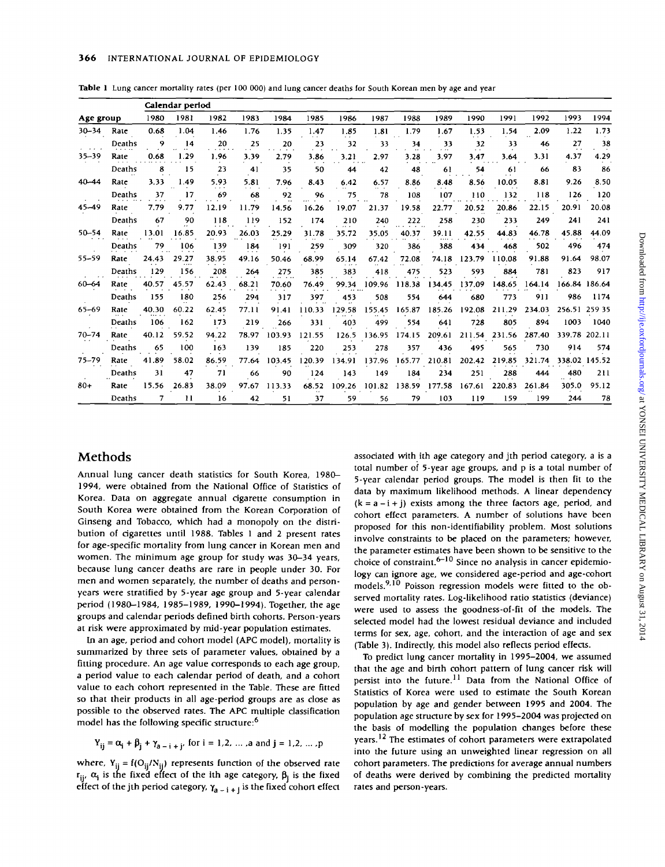|  |  |  | Table 1 Lung cancer mortality rates (per 100 000) and lung cancer deaths for South Korean men by age and year |  |  |  |  |  |  |  |  |  |  |  |  |  |  |  |  |
|--|--|--|---------------------------------------------------------------------------------------------------------------|--|--|--|--|--|--|--|--|--|--|--|--|--|--|--|--|
|--|--|--|---------------------------------------------------------------------------------------------------------------|--|--|--|--|--|--|--|--|--|--|--|--|--|--|--|--|

|           |        |       | Calendar period |                |       |        |        |        |        |        |        |                 |        |        |        |               |
|-----------|--------|-------|-----------------|----------------|-------|--------|--------|--------|--------|--------|--------|-----------------|--------|--------|--------|---------------|
| Age group |        | 1980  | 1981            | 1982           | 1983  | 1984   | 1985   | 1986   | 1987   | 1988   | 1989   | 1990            | 1991   | 1992   | 1993   | 1994          |
| $30 - 34$ | Rate   | 0.68  | 1.04            | 1.46           | 1.76  | 1.35   | 1.47   | 1.85   | 1.81   | 1.79   | 1.67   | 1.53            | 1.54   | 2.09   | 1.22   | 1.73          |
|           | Deaths | ۰     | 14              | 20<br>$\cdots$ | 25    | 20     | 23     | 32     | 33     | 34     | 33     | 32<br>$\ddotsc$ | 33     | 46     | 27     | 38            |
| 35-39     | Rate   | 0.68  | 1.29            | 1.96           | 3.39  | 2.79   | 3.86   | 3.21   | 2.97   | 3.28   | 3.97   | 3.47            | 3.64   | 3.31   | 4.37   | 4.29          |
|           | Deaths | 8     | 15              | 23             | 41    | 35     | 50     | 44     | 42     | 48     | 61     | 54              | -61    | -66    | 83     | 86            |
| $40 - 44$ | Rate   | 3.33  | 1.49            | 5.93           | 5.81  | 7.96   | 8.43   | 6.42   | 6.57   | 8.86   | 8.48   | 8.56            | 10.05  | 8.81   | 9.26   | 8.50          |
|           | Deaths | 37    | 17              | 69             | 68    | 92     | 96     | 75     | 78     | 108    | 107    | 110             | 132    | 118    | 126    | 120           |
| 45-49     | Rate   | 7.79  | 9.77            | 12.19          | 11.79 | 14.56  | 16.26  | 19.07  | 21.37  | 19.58  | 22.77  | 20.52           | 20.86  | 22.15  | 20.91  | 20.08         |
|           | Deaths | 67    | 90              | 118            | 119   | 152    | 174    | 210    | 240    | 222    | 258    | 230             | 233    | 249    | 241    | 241           |
| $50 - 54$ | Rate   | 13.01 | 16.85           | 20.93          | 26.03 | 25.29  | 31.78  | 35.72  | 35.05  | 40.37  | 39.11  | 42.55           | 44.83  | 46.78  | 45.88  | 44.09         |
|           | Deaths | 79    | 106             | 139            | 184   | 191    | 259    | 309    | 320    | 386    | 388    | 434             | 468    | 502    | 496    | 474           |
| 55-59     | Rate   | 24.43 | 29.27           | 38.95          | 49.16 | 50.46  | 68.99  | 65.14  | 67.42  | 72.08  | 74.18  | 123.79          | 110.08 | 91.88  | 91.64  | 98.07         |
|           | Deaths | 129   | 156             | 208            | 264   | 275    | 385    | 383    | 418    | 475    | 523    | 593             | 884    | 781    | 823    | 917           |
| 60-64     | Rate   | 40.57 | 45.57           | 62.43          | 68.21 | 70.60  | 76.49  | 99.34  | 109.96 | 118.38 | 134.45 | 137.09          | 148.65 | 164.14 |        | 166.84 186.64 |
|           | Deaths | 155   | 180             | 256            | 294   | 317    | 397    | 453    | 508    | 554    | 644    | 680             | 773    | 911    | 986    | 1174          |
| 65-69     | Rate   | 40.30 | 60.22           | 62.45          | 77.II | 91.41  | 110.33 | 129.58 | 155.45 | 165.87 | 185.26 | 192.08          | 211.29 | 234.03 |        | 256.51 259 35 |
|           | Deaths | 106   | 162             | 173            | 219   | 266    | 331    | 403    | 499    | 554    | 641    | 728             | 805    | 894    | 1003   | 1040          |
| $70 - 74$ | Rate   | 40.12 | 59.52           | 94.22          | 78.97 | 103.93 | 121.55 | 126.5  | 136.95 | 174.15 | 209.61 | 211.54          | 231.56 | 287.40 | 339.78 | 202.11        |
|           | Deaths | 65    | 100             | 163            | 139   | 185    | 220    | 253    | 278    | 357    | 436    | 495             | 565    | 730    | 914    | 574           |
| 75-79     | Rate   | 41.89 | 58.02           | 86.59          | 77.64 | 103.45 | 120.39 | 134.91 | 137.96 | 165.77 | 210.81 | 202.42          | 219.85 | 321.74 |        | 338.02 145.52 |
|           | Deaths | 31    | 47              | 71             | 66    | 90     | 124    | 143    | 149    | 184    | 234    | 251             | 288    | 444    | 480    | 211           |
| $80+$     | Rate   | 15.56 | 26.83           | 38.09          | 97.67 | 113.33 | 68.52  | 109.26 | 101.82 | 138.59 | 177.58 | 167.61          | 220.83 | 261.84 | 305.0  | 95.12         |
|           | Deaths | 7     | $_{11}$         | 16             | 42    | 51     | 37     | 59     | 56     | 79     | 103    | 119             | 159    | 199    | 244    | 78            |

### Methods

Annual lung cancer death statistics for South Korea, 1980- 1994, were obtained from the National Office of Statistics of Korea. Data on aggregate annual dgarette consumption in South Korea were obtained from the Korean Corporation of Ginseng and Tobacco, which had a monopoly on the distribution of dgarettes until 1988. Tables 1 and 2 present rates for age-spedfic mortality from lung cancer in Korean men and women. The minimum age group for study was 30-34 years, because lung cancer deaths are rare in people under 30. For men and women separately, the number of deaths and personyears were stratified by 5-year age group and 5-year calendar period (1980-1984, 1985-1989, 1990-1994). Together, the age groups and calendar periods defined birth cohorts. Person-years at risk were approximated by mid-year population estimates.

In an age, period and cohort model (APC model), mortality is summarized by three sets of parameter values, obtained by a fitting procedure. An age value corresponds to each age group, a period value to each calendar period of death, and a cohort value to each cohort represented in the Table. These are fitted so that their products in all age-period groups are as dose as possible to the observed rates. The APC multiple dassiftcation model has the following spedfic structure:<sup>6</sup>

$$
Y_{ij} = \alpha_i + \beta_j + \gamma_{a-i+j}
$$
, for  $i = 1, 2, ..., a$  and  $j = 1, 2, ..., p$ 

where,  $Y_{ii} = f(O_{ii}/N_{ii})$  represents function of the observed rate  $\mathsf{r}_{\mathsf{ii'}}$ ,  $\alpha_{\mathsf{i}}$  is the fixed effect of the ith age category,  $\beta_{\mathsf{i}}$  is the fixed effect of the jth period category, *ya* \_ j + j is the fixed cohort effect

assodated with ith age category and jth period category, a is a total number of 5-year age groups, and p is a total number of 5-year calendar period groups. The model is then fit to the data by maximum likelihood methods. A linear dependency  $(k = a - i + j)$  exists among the three factors age, period, and cohort effect parameters. A number of solutions have been proposed for this non-identifiability problem. Most solutions involve constraints to be placed on the parameters; however, the parameter estimates have been shown to be sensitive to the choice of constraint. <sup>6–10</sup> Since no analysis in cancer epidemiology can ignore age, we considered age-period and age-cohort  $\frac{1}{2}$  and  $\frac{1}{2}$  Poisson regression models were fitted to the observed mortality rates. Log-likelihood ratio statistics (deviance) were used to assess the goodness-of-fit of the models. The selected model had the lowest residual deviance and included terms for sex, age, cohort, and the interaction of age and sex (Table 3). Indirectly, this model also reflects period effects.

To predict lung cancer mortality in 1995-2004, we assumed that the age and birth cohort pattern of lung cancer risk will persist into the future.<sup>11</sup> Data from the National Office of Statistics of Korea were used to estimate the South Korean population by age and gender between 1995 and 2004. The population age structure by sex for 1995-2004 was projected on the basis of modelling the population changes before these years.<sup>12</sup> The estimates of cohort parameters were extrapolated into the future using an unweighted linear regression on all cohort parameters. The predictions for average annual numbers of deaths were derived by combining the predicted mortality rates and person-years.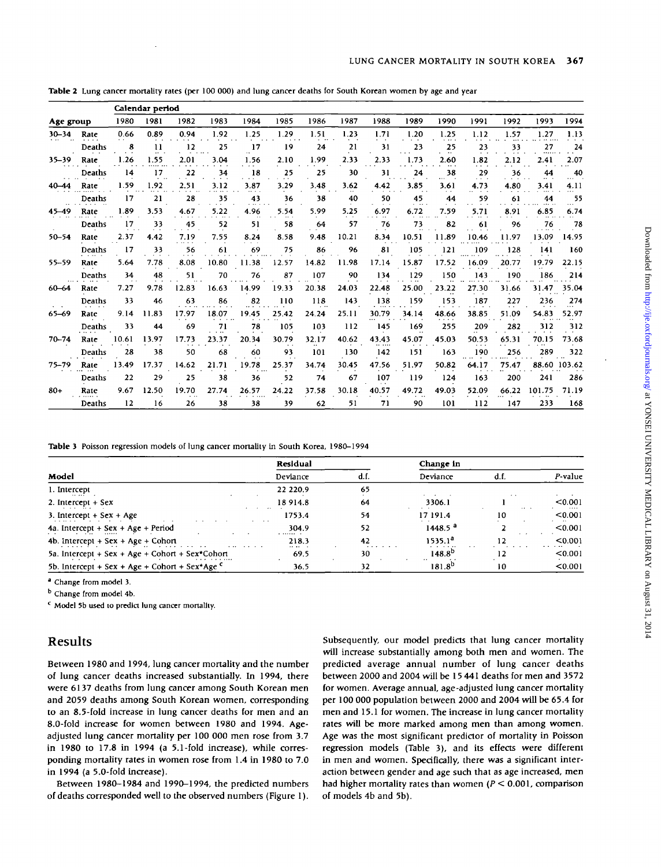|                                 |               |       | Calendar period            |       |       |       |       |       |       |       |         |                |         |                     |        |              |
|---------------------------------|---------------|-------|----------------------------|-------|-------|-------|-------|-------|-------|-------|---------|----------------|---------|---------------------|--------|--------------|
| Age group                       |               | 1980  | 1981                       | 1982  | 1983  | 1984  | 1985  | 1986  | 1987  | 1988  | 1989    | 1990           | 1991    | 1992                | 1993   | 1994         |
| $30 - 34$                       | Rate          | 0.66  | 0.89                       | 0.94  | 1.92  | 1.25  | 1.29  | 1.51  | 1.23  | 1.71  | 1.20    | 1.25           | 1.12    | 1.57                | 1.27   | 1.13         |
|                                 | Deaths        | 8     | 11<br>$\cdots$             | 12    | 25    | 17    | 19    | 24    | 21    | 31    | 23      | 25<br>$\cdots$ | 23      | 33<br>$\sim$ $\sim$ | 27     | 24           |
| 35-39                           | Rate          | 1.26  | 1.55                       | 2.01  | 3.04  | 1.56  | 2.10  | 1.99  | 2.33  | 2.33  | 1.73    | 2.60           | 1.82    | 2.12                | 2.41   | 2.07         |
|                                 | Deaths        | 14    | 17                         | 22    | 34    | 18    | 25    | 25    | 30    | 31    | 24      | 38             | 29<br>. | 36                  | 44     | 40           |
| 40–44                           | Rate          | 1.59  | 1.92                       | 2.51  | 3.12  | 3.87  | 3.29  | 3.48  | 3.62  | 4.42  | 3.85    | 3.61           | 4.73    | 4.80                | 3.41   | 4.11         |
|                                 | Deaths        | 17    | 21                         | 28    | 35    | 43    | 36    | 38    | 40    | 50    | 45<br>. | 44             | 59      | 61                  | 44     | 55           |
| 45–49                           | Rate          | 1.89  | 3.53                       | 4.67  | 5.22  | 4.96  | 5.54  | 5.99  | 5.25  | 6.97  | 6.72    | 7.59           | 5.71    | 8.91                | 6.85   | 6.74         |
|                                 | <b>Deaths</b> | 17    | 33<br>$\ddot{\phantom{0}}$ | 45    | 52    | 51    | 58    | 64    | 57    | 76    | 73      | 82             | 61      | 96                  | 76     | 78           |
| $50 - 54$                       | Rate          | 2.37  | 4.42                       | 7.19  | 7.55  | 8.24  | 8.58  | 9.48  | 10.21 | 8.34  | 10.51   | 11.89          | 10.46   | 11.97               | 13.09  | 14.95        |
|                                 | Deaths        | 17    | 33                         | 56    | 61    | 69    | 75    | 86    | 96    | 81    | 105     | 121            | 109     | 128                 | 141    | 160          |
| 55-59                           | Rate          | 5.64  | 7.78                       | 8.08  | 10.80 | 11.38 | 12.57 | 14.82 | 11.98 | 17.14 | 15.87   | 17.52          | 16.09   | 20.77               | 19.79  | 22.15        |
|                                 | Deaths        | 34    | 48                         | 51    | 70    | 76    | 87    | 107   | 90    | 134   | 129     | 150            | 143     | 190                 | 186    | 214          |
| $60 - 64$                       | Rate          | 7.27  | 9.78                       | 12.83 | 16.63 | 14.99 | 19.33 | 20.38 | 24.03 | 22.48 | 25.00   | 23.22          | 27.30   | 31.66               | 31.47  | 35.04        |
|                                 | Deaths        | 33    | 46                         | 63    | 86    | 82    | 110   | 118   | 143   | 138   | 159     | 153            | 187     | 227                 | 236    | 274          |
| $65 - 69$<br>$70 - 74$<br>75–79 | Rate          | 9.14  | 11.83                      | 17.97 | 18.07 | 19.45 | 25.42 | 24.24 | 25.11 | 30.79 | 34.14   | 48.66          | 38.85   | 51.09               | 54.83  | 52.97        |
|                                 | Deaths        | 33    | 44                         | 69    | 71    | 78    | 105   | 103   | 112   | 145   | 169     | 255            | 209     | 282                 | 312    | 312          |
|                                 | Rate          | 10.61 | 13.97                      | 17.73 | 23.37 | 20.34 | 30.79 | 32.17 | 40.62 | 43.43 | 45.07   | 45.03          | 50.53   | 65.31               | 70.15  | 73.68        |
|                                 | Deaths        | 28    | 38                         | 50    | 68    | 60    | 93    | 101   | 130   | 142   | 151     | 163            | 190     | 256                 | 289    | 322          |
|                                 | Rate          | 13.49 | 17.37                      | 14.62 | 21.71 | 19.78 | 25.37 | 34.74 | 30.45 | 47.56 | 51.97   | 50.82          | 64.17   | 75.47               |        | 88.60 103.62 |
|                                 | Deaths        | 22    | 29                         | 25    | 38    | 36    | 52    | 74    | 67    | 107   | 119     | 124            | 163     | 200                 | 241    | 286          |
| $80+$                           | Rate          | 9.67  | 12.50                      | 19.70 | 27.74 | 26.57 | 24.22 | 37.58 | 30.18 | 40.57 | 49.72   | 49.03          | 52.09   | 66.22               | 101.75 | 71.19        |
|                                 | Deaths        | 12    | 16                         | 26    | 38    | 38    | 39    | 62    | 51    | 71    | 90      | 101            | 112     | 147                 | 233    | 168          |

**Table 2** Lung cancer mortality rates (per 100 000) and lung cancer deaths for South Korean women by age and year

Table 3 Poisson regression models of lung cancer mortality in South Korea, 1980-1994

|                                                  | Residual                          |      | Change in           |          |         |
|--------------------------------------------------|-----------------------------------|------|---------------------|----------|---------|
| Model                                            | Deviance                          | d.f. | Deviance            | d.f      | P-value |
| 1. Intercept<br>$\cdots$ $\cdots$ $\cdots$       | 22 220.9                          | 65   | $\sim$ $\sim$       | . .      |         |
| 2. Intercept $+$ Sex                             | 18 914.8<br>$\cdot$ .             | 64   | 3306.1              | $\cdots$ | < 0.001 |
| 3. Intercept $+$ Sex $+$ Age                     | 1753.4<br>$\cdot$ $\cdot$ $\cdot$ | 54   | 17 191.4            | 10       | < 0.001 |
| 4a. Intercept + Sex + Age + Period               | 304.9<br>$\cdots$                 | 52   | 1448.5 <sup>a</sup> |          | < 0.001 |
| 4b. Intercept $+$ Sex $+$ Age $+$ Cohort         | 218.3<br>$\cdots$                 | 42   | 1535.1 <sup>8</sup> |          | < 0.001 |
| 5a. Intercept + Sex + Age + Cohort + Sex*Cohort  | 69.5                              | 30   | $148.8^{D}$         | 12       | < 0.001 |
| 5b. Intercept + Sex + Age + Cohort + Sex*Age $C$ | 36.5                              | 32   | <br>$181.8^{0}$     | 10       | < 0.001 |

<sup>a</sup> Change from model 3.

<sup>b</sup> Change from model 4b.

<sup>c</sup> Model 5b used to predict lung cancer mortality.

## Results

Between 1980 and 1994, lung cancer mortality and the number of lung cancer deaths increased substantially. In 1994, there were 6137 deaths from lung cancer among South Korean men and 2059 deaths among South Korean women, corresponding to an 8.5-fold increase in lung cancer deaths for men and an 8.0-fold increase for women between 1980 and 1994. Ageadjusted lung cancer mortality per 100 000 men rose from 3.7 in 1980 to 17.8 in 1994 (a 5.1-fold increase), while corresponding mortality rates in women rose from 1.4 in 1980 to 7.0 in 1994 (a 5.0-fold increase).

Between 1980-1984 and 1990-1994, the predicted numbers of deaths corresponded well to the observed numbers (Figure 1). Subsequently, our model predicts that lung cancer mortality will increase substantially among both men and women. The predicted average annual number of lung cancer deaths between 2000 and 2004 will be 15 441 deaths for men and 3572 for women. Average annual, age-adjusted lung cancer mortality per 100 000 population between 2000 and 2004 will be 65.4 for men and 15.1 for women. The increase in lung cancer mortality rates will be more marked among men than among women. Age was the most significant predictor of mortality in Poisson regression models (Table 3), and its effects were different in men and women. Specifically, there was a significant interaction between gender and age such that as age increased, men had higher mortality rates than women *(P <* 0.001, comparison of models 4b and 5b).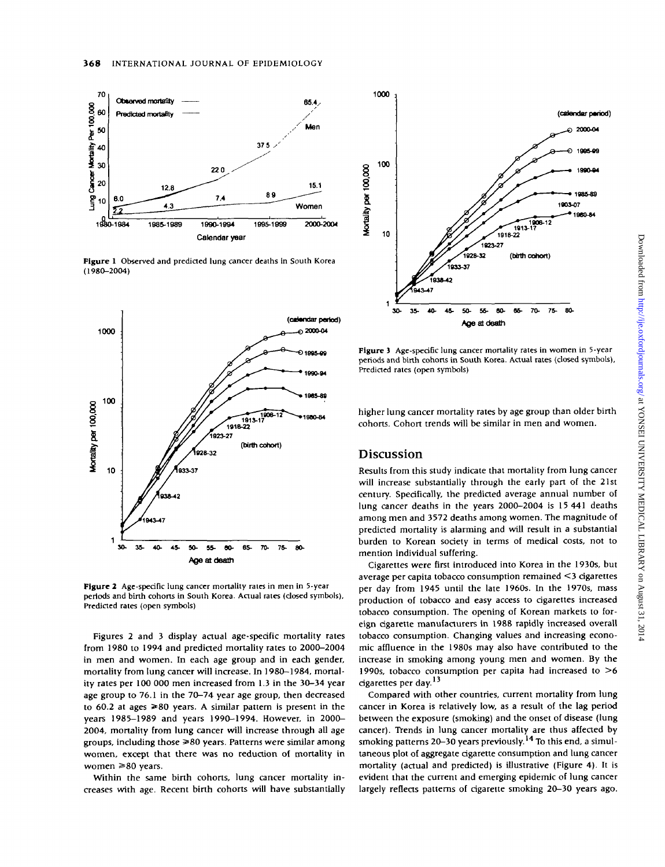

Figure 1 Observed and predicted lung cancer deaths in South Korea  $(1980 - 2004)$ 



Figure 2 Age-specific lung cancer mortality rates in men in 5-year periods and birth cohorts in South Korea. Actual rates (closed symbols), Predicted rates (open symbols)

Figures 2 and 3 display actual age-specific mortality rates from 1980 to 1994 and predicted mortality rates to 2000-2004 in men and women. In each age group and in each gender, mortality from lung cancer will increase. In 1980-1984, mortality rates per 100 000 men increased from 1.3 in the 30-34 year age group to 76.1 in the 70-74 year age group, then decreased to 60.2 at ages  $\ge 80$  years. A similar pattern is present in the years 1985-1989 and years 1990-1994. However, in 2000-2004, mortality from lung cancer will increase through all age groups, including those  $\geq 80$  years. Patterns were similar among women, except that there was no reduction of mortality in women  $\geq 80$  years.

Within the same birth cohorts, lung cancer mortality increases with age. Recent birth cohorts will have substantially



Figure 3 Age-specific lung cancer mortality rates in women in 5-year periods and birth cohorts in South Korea. Actual rates (closed symbols), Predicted rates (open symbols)

higher lung cancer mortality rates by age group than older birth cohorts. Cohort trends will be similar in men and women.

#### **Discussion**

Results from this study indicate that mortality from lung cancer will increase substantially through the early part of the 21st century. Specifically, the predicted average annual number of lung cancer deaths in the years 2000-2004 is 15 441 deaths among men and 3572 deaths among women. The magnitude of predicted mortality is alarming and will result in a substantial burden to Korean society in terms of medical costs, not to mention individual suffering.

Cigarettes were first introduced into Korea in the 1930s, but average per capita tobacco consumption remained <3 cigarettes per day from 1945 until the late 1960s. In the 1970s, mass production of tobacco and easy access to cigarettes increased tobacco consumption. The opening of Korean markets to foreign cigarette manufacturers in 1988 rapidly increased overall tobacco consumption. Changing values and increasing economic affluence in the 1980s may also have contributed to the increase in smoking among young men and women. By the 1990s, tobacco consumption per capita had increased to  $>6$ cigarettes per day.<sup>13</sup>

Compared with other countries, current mortality from lung cancer in Korea is relatively low, as a result of the lag period between the exposure (smoking) and the onset of disease (lung cancer). Trends in lung cancer mortality are thus affected by smoking patterns 20-30 years previously.<sup>14</sup> To this end, a simultaneous plot of aggregate cigarette consumption and lung cancer mortality (actual and predicted) is illustrative (Figure 4). It is evident that the current and emerging epidemic of lung cancer largely reflects patterns of cigarette smoking 20-30 years ago.